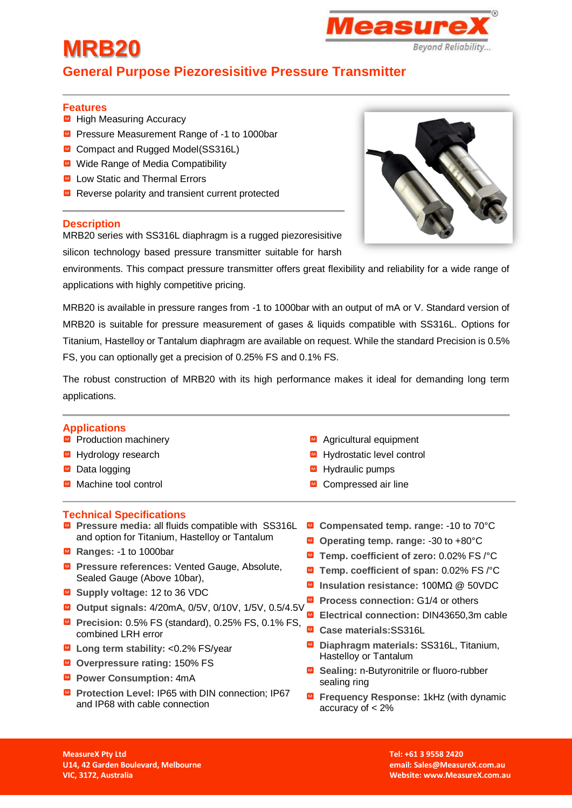## *leasure* **Beyond Reliability...**

## **General Purpose Piezoresisitive Pressure Transmitter**

#### **Features**

**MRB20** 

- High Measuring Accuracy
- Pressure Measurement Range of -1 to 1000bar
- **■** Compact and Rugged Model(SS316L)
- Wide Range of Media Compatibility
- Low Static and Thermal Errors
- $\blacksquare$  Reverse polarity and transient current protected

#### **Description**

MRB20 series with SS316L diaphragm is a rugged piezoresisitive

silicon technology based pressure transmitter suitable for harsh

environments. This compact pressure transmitter offers great flexibility and reliability for a wide range of applications with highly competitive pricing.

MRB20 is available in pressure ranges from -1 to 1000bar with an output of mA or V. Standard version of MRB20 is suitable for pressure measurement of gases & liquids compatible with SS316L. Options for Titanium, Hastelloy or Tantalum diaphragm are available on request. While the standard Precision is 0.5% FS, you can optionally get a precision of 0.25% FS and 0.1% FS.

The robust construction of MRB20 with its high performance makes it ideal for demanding long term applications.

#### **Applications**

- $\n **Product**ion machinery\n$
- Hydrology research
- Data logging
- Machine tool control

#### **Technical Specifications**

- **Pressure media: all fluids compatible with SS316L** and option for Titanium, Hastelloy or Tantalum
- Ranges: -1 to 1000bar
- **Pressure references:** Vented Gauge, Absolute, Sealed Gauge (Above 10bar),
- **Supply voltage:** 12 to 36 VDC
- **Output signals:** 4/20mA, 0/5V, 0/10V, 1/5V, 0.5/4.5V
- **Precision:** 0.5% FS (standard), 0.25% FS, 0.1% FS, combined LRH error
- **Long term stability:** <0.2% FS/year
- **Overpressure rating:** 150% FS
- **Power Consumption:** 4mA
- **Protection Level: IP65 with DIN connection; IP67** and IP68 with cable connection
- Agricultural equipment
- Hydrostatic level control
- Hydraulic pumps
- Compressed air line
- **Compensated temp. range:** -10 to 70°C
- **Operating temp. range:** -30 to +80°C
- **Temp. coefficient of zero:** 0.02% FS /°C
- **Temp. coefficient of span:** 0.02% FS /°C
- **Insulation resistance:** 100MΩ @ 50VDC
- Process connection: G1/4 or others
- **Electrical connection:** DIN43650,3m cable
- **Case materials:**SS316L
- **Diaphragm materials:** SS316L, Titanium, Hastelloy or Tantalum
- **Sealing:** n-Butyronitrile or fluoro-rubber sealing ring
- **Figuency Response: 1kHz (with dynamic** accuracy of < 2%